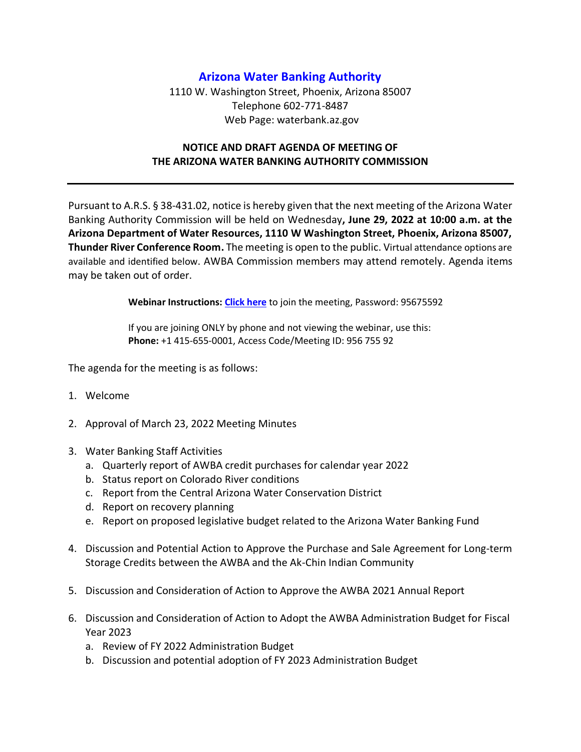## **Arizona Water Banking Authority**

1110 W. Washington Street, Phoenix, Arizona 85007 Telephone 602-771-8487 Web Page: waterbank.az.gov

## **NOTICE AND DRAFT AGENDA OF MEETING OF THE ARIZONA WATER BANKING AUTHORITY COMMISSION**

Pursuant to A.R.S. § 38-431.02, notice is hereby given that the next meeting of the Arizona Water Banking Authority Commission will be held on Wednesday**, June 29, 2022 at 10:00 a.m. at the Arizona Department of Water Resources, 1110 W Washington Street, Phoenix, Arizona 85007, Thunder River Conference Room.** The meeting is open to the public. Virtual attendance options are available and identified below. AWBA Commission members may attend remotely. Agenda items may be taken out of order.

**Webinar Instructions: [Click here](https://azwater.webex.com/azwater/j.php?MTID=mc565a3149dac38b8dc67a8724ef426ec)** to join the meeting, Password: 95675592

If you are joining ONLY by phone and not viewing the webinar, use this: **Phone:** +1 415-655-0001, Access Code/Meeting ID: 956 755 92

The agenda for the meeting is as follows:

- 1. Welcome
- 2. Approval of March 23, 2022 Meeting Minutes
- 3. Water Banking Staff Activities
	- a. Quarterly report of AWBA credit purchases for calendar year 2022
	- b. Status report on Colorado River conditions
	- c. Report from the Central Arizona Water Conservation District
	- d. Report on recovery planning
	- e. Report on proposed legislative budget related to the Arizona Water Banking Fund
- 4. Discussion and Potential Action to Approve the Purchase and Sale Agreement for Long-term Storage Credits between the AWBA and the Ak-Chin Indian Community
- 5. Discussion and Consideration of Action to Approve the AWBA 2021 Annual Report
- 6. Discussion and Consideration of Action to Adopt the AWBA Administration Budget for Fiscal Year 2023
	- a. Review of FY 2022 Administration Budget
	- b. Discussion and potential adoption of FY 2023 Administration Budget